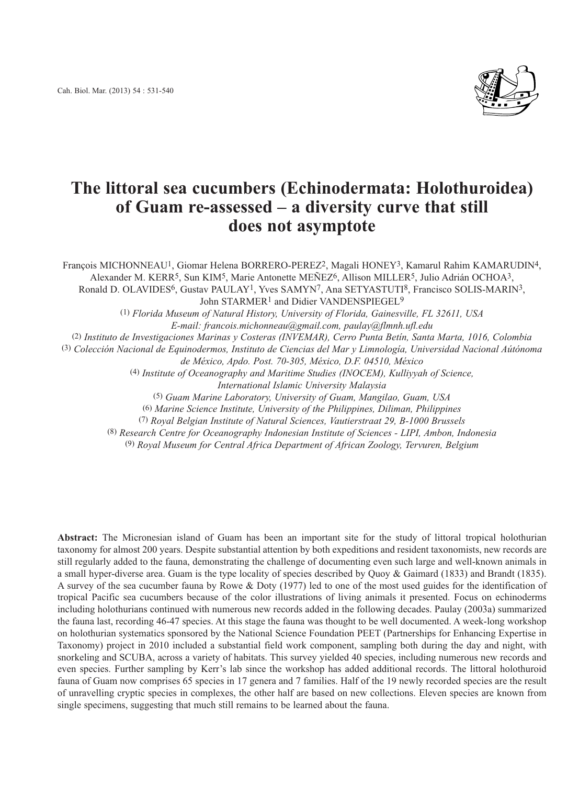

# **The littoral sea cucumbers (Echinodermata: Holothuroidea) of Guam re-assessed – a diversity curve that still does not asymptote**

François MICHONNEAU1, Giomar Helena BORRERO-PEREZ2, Magali HONEY3, Kamarul Rahim KAMARUDIN4, Alexander M. KERR5, Sun KIM5, Marie Antonette MEÑEZ6, Allison MILLER5, Julio Adrián OCHOA3, Ronald D. OLAVIDES6, Gustav PAULAY1, Yves SAMYN7, Ana SETYASTUTI8, Francisco SOLIS-MARIN3, John STARMER<sup>1</sup> and Didier VANDENSPIEGEL<sup>9</sup> (1) *Florida Museum of Natural History, University of Florida, Gainesville, FL 32611, USA E-mail: francois.michonneau@gmail.com, paulay@flmnh.ufl.edu* (2) *Instituto de Investigaciones Marinas y Costeras (INVEMAR), Cerro Punta Betín, Santa Marta, 1016, Colombia* (3) *Colección Nacional de Equinodermos, Instituto de Ciencias del Mar y Limnología, Universidad Nacional Aútónoma de México, Apdo. Post. 70-305, México, D.F. 04510, México* (4) *Institute of Oceanography and Maritime Studies (INOCEM), Kulliyyah of Science, International Islamic University Malaysia* (5) *Guam Marine Laboratory, University of Guam, Mangilao, Guam, USA* (6) *Marine Science Institute, University of the Philippines, Diliman, Philippines* (7) *Royal Belgian Institute of Natural Sciences, Vautierstraat 29, B-1000 Brussels* (8) *Research Centre for Oceanography Indonesian Institute of Sciences - LIPI, Ambon, Indonesia*

(9) *Royal Museum for Central Africa Department of African Zoology, Tervuren, Belgium*

**Abstract:** The Micronesian island of Guam has been an important site for the study of littoral tropical holothurian taxonomy for almost 200 years. Despite substantial attention by both expeditions and resident taxonomists, new records are still regularly added to the fauna, demonstrating the challenge of documenting even such large and well-known animals in a small hyper-diverse area. Guam is the type locality of species described by Quoy & Gaimard (1833) and Brandt (1835). A survey of the sea cucumber fauna by Rowe & Doty (1977) led to one of the most used guides for the identification of tropical Pacific sea cucumbers because of the color illustrations of living animals it presented. Focus on echinoderms including holothurians continued with numerous new records added in the following decades. Paulay (2003a) summarized the fauna last, recording 46-47 species. At this stage the fauna was thought to be well documented. A week-long workshop on holothurian systematics sponsored by the National Science Foundation PEET (Partnerships for Enhancing Expertise in Taxonomy) project in 2010 included a substantial field work component, sampling both during the day and night, with snorkeling and SCUBA, across a variety of habitats. This survey yielded 40 species, including numerous new records and even species. Further sampling by Kerr's lab since the workshop has added additional records. The littoral holothuroid fauna of Guam now comprises 65 species in 17 genera and 7 families. Half of the 19 newly recorded species are the result of unravelling cryptic species in complexes, the other half are based on new collections. Eleven species are known from single specimens, suggesting that much still remains to be learned about the fauna.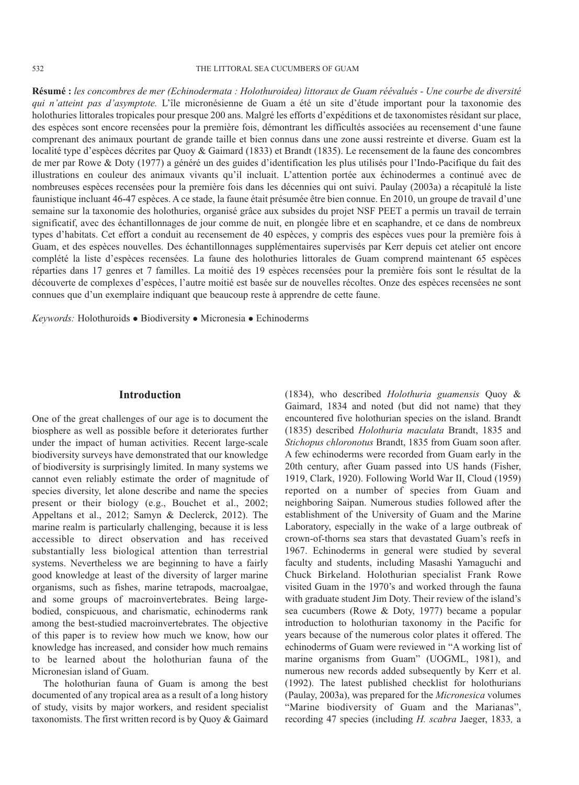#### 532 THE LITTORAL SEA CUCUMBERS OF GUAM

**Résumé :** *les concombres de mer (Echinodermata : Holothuroidea) littoraux de Guam réévalués - Une courbe de diversité qui n'atteint pas d'asymptote.* L'île micronésienne de Guam a été un site d'étude important pour la taxonomie des holothuries littorales tropicales pour presque 200 ans. Malgré les efforts d'expéditions et de taxonomistes résidant sur place, des espèces sont encore recensées pour la première fois, démontrant les difficultés associées au recensement d'une faune comprenant des animaux pourtant de grande taille et bien connus dans une zone aussi restreinte et diverse. Guam est la localité type d'espèces décrites par Quoy & Gaimard (1833) et Brandt (1835). Le recensement de la faune des concombres de mer par Rowe & Doty (1977) a généré un des guides d'identification les plus utilisés pour l'Indo-Pacifique du fait des illustrations en couleur des animaux vivants qu'il incluait. L'attention portée aux échinodermes a continué avec de nombreuses espèces recensées pour la première fois dans les décennies qui ont suivi. Paulay (2003a) a récapitulé la liste faunistique incluant 46-47 espèces. A ce stade, la faune était présumée être bien connue. En 2010, un groupe de travail d'une semaine sur la taxonomie des holothuries, organisé grâce aux subsides du projet NSF PEET a permis un travail de terrain significatif, avec des échantillonnages de jour comme de nuit, en plongée libre et en scaphandre, et ce dans de nombreux types d'habitats. Cet effort a conduit au recensement de 40 espèces, y compris des espèces vues pour la première fois à Guam, et des espèces nouvelles. Des échantillonnages supplémentaires supervisés par Kerr depuis cet atelier ont encore complété la liste d'espèces recensées. La faune des holothuries littorales de Guam comprend maintenant 65 espèces réparties dans 17 genres et 7 familles. La moitié des 19 espèces recensées pour la première fois sont le résultat de la découverte de complexes d'espèces, l'autre moitié est basée sur de nouvelles récoltes. Onze des espèces recensées ne sont connues que d'un exemplaire indiquant que beaucoup reste à apprendre de cette faune.

*Keywords:* Holothuroids • Biodiversity • Micronesia • Echinoderms

#### **Introduction**

One of the great challenges of our age is to document the biosphere as well as possible before it deteriorates further under the impact of human activities. Recent large-scale biodiversity surveys have demonstrated that our knowledge of biodiversity is surprisingly limited. In many systems we cannot even reliably estimate the order of magnitude of species diversity, let alone describe and name the species present or their biology (e.g., Bouchet et al., 2002; Appeltans et al., 2012; Samyn & Declerck, 2012). The marine realm is particularly challenging, because it is less accessible to direct observation and has received substantially less biological attention than terrestrial systems. Nevertheless we are beginning to have a fairly good knowledge at least of the diversity of larger marine organisms, such as fishes, marine tetrapods, macroalgae, and some groups of macroinvertebrates. Being largebodied, conspicuous, and charismatic, echinoderms rank among the best-studied macroinvertebrates. The objective of this paper is to review how much we know, how our knowledge has increased, and consider how much remains to be learned about the holothurian fauna of the Micronesian island of Guam.

The holothurian fauna of Guam is among the best documented of any tropical area as a result of a long history of study, visits by major workers, and resident specialist taxonomists. The first written record is by Quoy & Gaimard

(1834), who described *Holothuria guamensis* Quoy & Gaimard, 1834 and noted (but did not name) that they encountered five holothurian species on the island. Brandt (1835) described *Holothuria maculata* Brandt, 1835 and *Stichopus chloronotus* Brandt, 1835 from Guam soon after. A few echinoderms were recorded from Guam early in the 20th century, after Guam passed into US hands (Fisher, 1919, Clark, 1920). Following World War II, Cloud (1959) reported on a number of species from Guam and neighboring Saipan. Numerous studies followed after the establishment of the University of Guam and the Marine Laboratory, especially in the wake of a large outbreak of crown-of-thorns sea stars that devastated Guam's reefs in 1967. Echinoderms in general were studied by several faculty and students, including Masashi Yamaguchi and Chuck Birkeland. Holothurian specialist Frank Rowe visited Guam in the 1970's and worked through the fauna with graduate student Jim Doty. Their review of the island's sea cucumbers (Rowe & Doty, 1977) became a popular introduction to holothurian taxonomy in the Pacific for years because of the numerous color plates it offered. The echinoderms of Guam were reviewed in "A working list of marine organisms from Guam" (UOGML, 1981), and numerous new records added subsequently by Kerr et al. (1992). The latest published checklist for holothurians (Paulay, 2003a), was prepared for the *Micronesica* volumes "Marine biodiversity of Guam and the Marianas", recording 47 species (including *H. scabra* Jaeger, 1833*,* a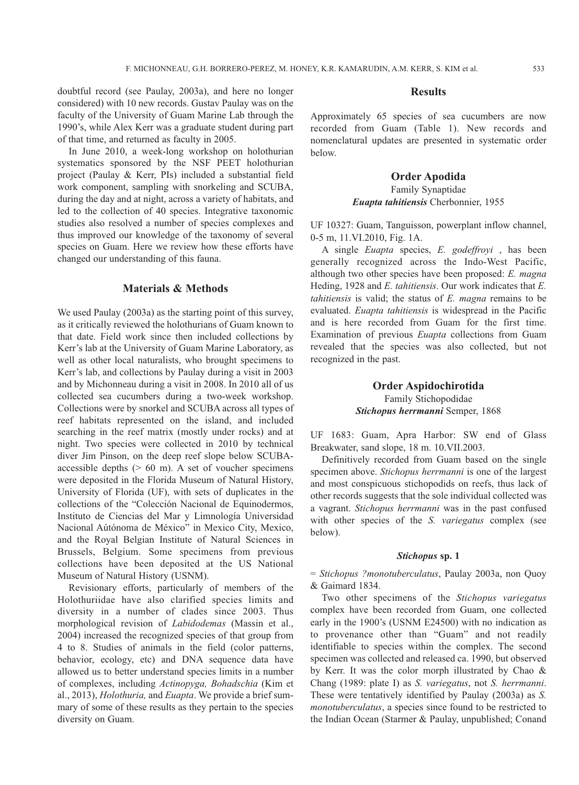doubtful record (see Paulay, 2003a), and here no longer considered) with 10 new records. Gustav Paulay was on the faculty of the University of Guam Marine Lab through the 1990's, while Alex Kerr was a graduate student during part of that time, and returned as faculty in 2005.

In June 2010, a week-long workshop on holothurian systematics sponsored by the NSF PEET holothurian project (Paulay & Kerr, PIs) included a substantial field work component, sampling with snorkeling and SCUBA, during the day and at night, across a variety of habitats, and led to the collection of 40 species. Integrative taxonomic studies also resolved a number of species complexes and thus improved our knowledge of the taxonomy of several species on Guam. Here we review how these efforts have changed our understanding of this fauna.

## **Materials & Methods**

We used Paulay (2003a) as the starting point of this survey, as it critically reviewed the holothurians of Guam known to that date. Field work since then included collections by Kerr's lab at the University of Guam Marine Laboratory, as well as other local naturalists, who brought specimens to Kerr's lab, and collections by Paulay during a visit in 2003 and by Michonneau during a visit in 2008. In 2010 all of us collected sea cucumbers during a two-week workshop. Collections were by snorkel and SCUBA across all types of reef habitats represented on the island, and included searching in the reef matrix (mostly under rocks) and at night. Two species were collected in 2010 by technical diver Jim Pinson, on the deep reef slope below SCUBAaccessible depths  $(> 60 \text{ m})$ . A set of voucher specimens were deposited in the Florida Museum of Natural History, University of Florida (UF), with sets of duplicates in the collections of the "Colección Nacional de Equinodermos, Instituto de Ciencias del Mar y Limnología Universidad Nacional Aútónoma de México" in Mexico City, Mexico, and the Royal Belgian Institute of Natural Sciences in Brussels, Belgium. Some specimens from previous collections have been deposited at the US National Museum of Natural History (USNM).

Revisionary efforts, particularly of members of the Holothuriidae have also clarified species limits and diversity in a number of clades since 2003. Thus morphological revision of *Labidodemas* (Massin et al., 2004) increased the recognized species of that group from 4 to 8. Studies of animals in the field (color patterns, behavior, ecology, etc) and DNA sequence data have allowed us to better understand species limits in a number of complexes, including *Actinopyga, Bohadschia* (Kim et al., 2013), *Holothuria,* and *Euapta*. We provide a brief summary of some of these results as they pertain to the species diversity on Guam.

# **Results**

Approximately 65 species of sea cucumbers are now recorded from Guam (Table 1). New records and nomenclatural updates are presented in systematic order below.

# **Order Apodida**

Family Synaptidae *Euapta tahitiensis* Cherbonnier, 1955

UF 10327: Guam, Tanguisson, powerplant inflow channel, 0-5 m, 11.VI.2010, Fig. 1A.

A single *Euapta* species, *E. godeffroyi* , has been generally recognized across the Indo-West Pacific, although two other species have been proposed: *E. magna* Heding, 1928 and *E. tahitiensis*. Our work indicates that *E. tahitiensis* is valid; the status of *E. magna* remains to be evaluated. *Euapta tahitiensis* is widespread in the Pacific and is here recorded from Guam for the first time. Examination of previous *Euapta* collections from Guam revealed that the species was also collected, but not recognized in the past.

# **Order Aspidochirotida** Family Stichopodidae *Stichopus herrmanni* Semper, 1868

UF 1683: Guam, Apra Harbor: SW end of Glass Breakwater, sand slope, 18 m. 10.VII.2003.

Definitively recorded from Guam based on the single specimen above. *Stichopus herrmanni* is one of the largest and most conspicuous stichopodids on reefs, thus lack of other records suggests that the sole individual collected was a vagrant. *Stichopus herrmanni* was in the past confused with other species of the *S. variegatus* complex (see below).

#### *Stichopus* **sp. 1**

= *Stichopus ?monotuberculatus*, Paulay 2003a, non Quoy & Gaimard 1834.

Two other specimens of the *Stichopus variegatus* complex have been recorded from Guam, one collected early in the 1900's (USNM E24500) with no indication as to provenance other than "Guam" and not readily identifiable to species within the complex. The second specimen was collected and released ca. 1990, but observed by Kerr. It was the color morph illustrated by Chao & Chang (1989: plate I) as *S. variegatus*, not *S. herrmanni*. These were tentatively identified by Paulay (2003a) as *S. monotuberculatus*, a species since found to be restricted to the Indian Ocean (Starmer & Paulay, unpublished; Conand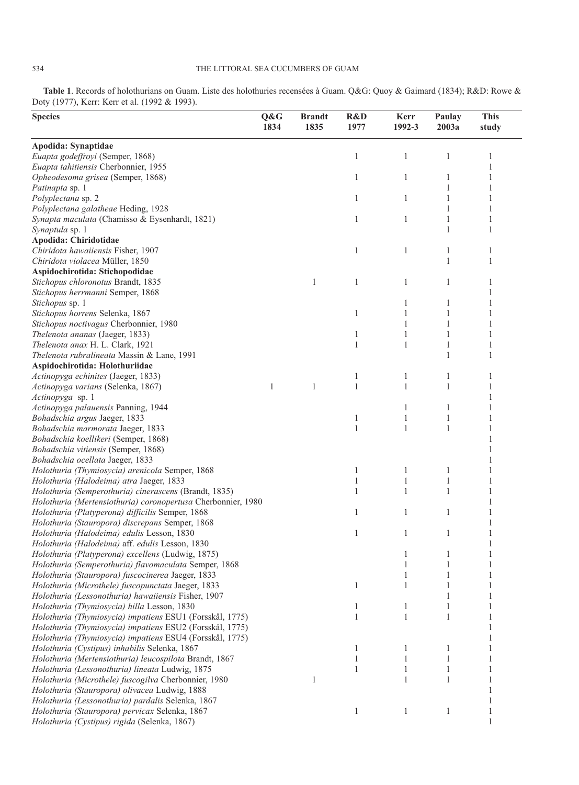### 534 THE LITTORAL SEA CUCUMBERS OF GUAM

**Table 1**. Records of holothurians on Guam. Liste des holothuries recensées à Guam. Q&G: Quoy & Gaimard (1834); R&D: Rowe & Doty (1977), Kerr: Kerr et al. (1992 & 1993).

| (1, 1, 1)<br><b>Species</b>                                  | Q&G<br>1834  | <b>Brandt</b><br>1835 | R&D<br>1977  | <b>Kerr</b><br>1992-3 | Paulay<br>2003a | <b>This</b><br>study |
|--------------------------------------------------------------|--------------|-----------------------|--------------|-----------------------|-----------------|----------------------|
| Apodida: Synaptidae                                          |              |                       |              |                       |                 |                      |
| Euapta godeffroyi (Semper, 1868)                             |              |                       | $\mathbf{1}$ | 1                     | $\mathbf{1}$    | 1                    |
| Euapta tahitiensis Cherbonnier, 1955                         |              |                       |              |                       |                 | 1                    |
| Opheodesoma grisea (Semper, 1868)                            |              |                       | $\mathbf{1}$ | 1                     | $\mathbf{1}$    | 1                    |
| Patinapta sp. 1                                              |              |                       |              |                       | $\mathbf{1}$    | 1                    |
| Polyplectana sp. 2                                           |              |                       | $\mathbf{1}$ | $\mathbf{1}$          | $\mathbf{1}$    | 1                    |
| Polyplectana galatheae Heding, 1928                          |              |                       |              |                       | 1               | 1                    |
| Synapta maculata (Chamisso & Eysenhardt, 1821)               |              |                       | $\mathbf{1}$ | $\mathbf{1}$          | $\mathbf{1}$    | 1                    |
| Synaptula sp. 1                                              |              |                       |              |                       | $\mathbf{1}$    | 1                    |
| Apodida: Chiridotidae                                        |              |                       |              |                       |                 |                      |
| Chiridota hawaiiensis Fisher, 1907                           |              |                       | $\mathbf{1}$ | $\mathbf{1}$          | $\mathbf{1}$    | 1                    |
| Chiridota violacea Müller, 1850                              |              |                       |              |                       | $\mathbf{1}$    | 1                    |
| Aspidochirotida: Stichopodidae                               |              |                       |              |                       |                 |                      |
| Stichopus chloronotus Brandt, 1835                           |              | $\mathbf{1}$          | $\mathbf{1}$ | 1                     | $\mathbf{1}$    | 1                    |
| Stichopus herrmanni Semper, 1868                             |              |                       |              |                       |                 | 1                    |
| Stichopus sp. 1                                              |              |                       |              | 1                     | 1               | 1                    |
| Stichopus horrens Selenka, 1867                              |              |                       | $\mathbf{1}$ | $\mathbf{1}$          | $\mathbf{1}$    | 1                    |
| Stichopus noctivagus Cherbonnier, 1980                       |              |                       |              | 1                     | $\mathbf{1}$    | 1                    |
| Thelenota ananas (Jaeger, 1833)                              |              |                       | $\mathbf{1}$ | 1                     | 1               | 1                    |
| Thelenota anax H. L. Clark, 1921                             |              |                       | $\mathbf{1}$ | $\mathbf{1}$          | 1               | 1                    |
| Thelenota rubralineata Massin & Lane, 1991                   |              |                       |              |                       | $\mathbf{1}$    | 1                    |
| Aspidochirotida: Holothuriidae                               |              |                       |              |                       |                 |                      |
| Actinopyga echinites (Jaeger, 1833)                          |              |                       | 1            | $\mathbf{1}$          | 1               | 1                    |
| Actinopyga varians (Selenka, 1867)                           | $\mathbf{1}$ | $\mathbf{1}$          | $\mathbf{1}$ | $\mathbf{1}$          | $\mathbf{1}$    | 1                    |
| Actinopyga sp. 1                                             |              |                       |              |                       |                 | 1                    |
| Actinopyga palauensis Panning, 1944                          |              |                       |              | $\mathbf{1}$          | $\mathbf{1}$    | 1                    |
| Bohadschia argus Jaeger, 1833                                |              |                       | $\mathbf{1}$ | $\mathbf{1}$          | $\mathbf{1}$    | 1                    |
| Bohadschia marmorata Jaeger, 1833                            |              |                       | $\mathbf{1}$ | $\mathbf{1}$          | $\mathbf{1}$    | 1                    |
| Bohadschia koellikeri (Semper, 1868)                         |              |                       |              |                       |                 | 1                    |
| Bohadschia vitiensis (Semper, 1868)                          |              |                       |              |                       |                 |                      |
| Bohadschia ocellata Jaeger, 1833                             |              |                       |              |                       |                 |                      |
| Holothuria (Thymiosycia) arenicola Semper, 1868              |              |                       | $\mathbf{1}$ | $\mathbf{1}$          | $\mathbf{1}$    | 1                    |
| Holothuria (Halodeima) atra Jaeger, 1833                     |              |                       | $\mathbf{1}$ | $\mathbf{1}$          | $\mathbf{1}$    | 1                    |
| Holothuria (Semperothuria) cinerascens (Brandt, 1835)        |              |                       | $\mathbf{1}$ | $\mathbf{1}$          | $\mathbf{1}$    | 1                    |
| Holothuria (Mertensiothuria) coronopertusa Cherbonnier, 1980 |              |                       |              |                       |                 |                      |
| Holothuria (Platyperona) difficilis Semper, 1868             |              |                       | $\mathbf{1}$ | $\mathbf{1}$          | $\mathbf{1}$    | 1                    |
| Holothuria (Stauropora) discrepans Semper, 1868              |              |                       |              |                       |                 | 1                    |
| Holothuria (Halodeima) edulis Lesson, 1830                   |              |                       | $\mathbf{1}$ | $\mathbf{1}$          | $\mathbf{1}$    | 1                    |
| Holothuria (Halodeima) aff. edulis Lesson, 1830              |              |                       |              |                       |                 | 1                    |
|                                                              |              |                       |              |                       |                 |                      |
| <i>Holothuria (Platyperona) excellens</i> (Ludwig, 1875)     |              |                       |              | 1<br>1                | 1<br>1          | 1                    |
| Holothuria (Semperothuria) flavomaculata Semper, 1868        |              |                       |              |                       |                 |                      |
| Holothuria (Stauropora) fuscocinerea Jaeger, 1833            |              |                       |              | 1                     | 1               |                      |
| Holothuria (Microthele) fuscopunctata Jaeger, 1833           |              |                       | $\mathbf{1}$ | 1                     | 1               |                      |
| Holothuria (Lessonothuria) hawaiiensis Fisher, 1907          |              |                       |              |                       |                 |                      |
| Holothuria (Thymiosycia) hilla Lesson, 1830                  |              |                       | $\mathbf{1}$ | $\mathbf{1}$          | 1               |                      |
| Holothuria (Thymiosycia) impatiens ESU1 (Forsskål, 1775)     |              |                       | $\mathbf{1}$ | $\mathbf{1}$          | $\mathbf{1}$    | 1                    |
| Holothuria (Thymiosycia) impatiens ESU2 (Forsskål, 1775)     |              |                       |              |                       |                 |                      |
| Holothuria (Thymiosycia) impatiens ESU4 (Forsskål, 1775)     |              |                       |              |                       |                 |                      |
| Holothuria (Cystipus) inhabilis Selenka, 1867                |              |                       | $\mathbf{1}$ | $\mathbf{1}$          | $\mathbf{1}$    |                      |
| Holothuria (Mertensiothuria) leucospilota Brandt, 1867       |              |                       | $\mathbf{1}$ | $\mathbf{1}$          | $\mathbf{1}$    | 1                    |
| Holothuria (Lessonothuria) lineata Ludwig, 1875              |              |                       | 1            | 1                     | 1               |                      |
| Holothuria (Microthele) fuscogilva Cherbonnier, 1980         |              | $\mathbf{1}$          |              | 1                     | 1               |                      |
| Holothuria (Stauropora) olivacea Ludwig, 1888                |              |                       |              |                       |                 |                      |
| Holothuria (Lessonothuria) pardalis Selenka, 1867            |              |                       |              |                       |                 | 1                    |
| Holothuria (Stauropora) pervicax Selenka, 1867               |              |                       | $\mathbf{1}$ | $\mathbf{1}$          | $\mathbf{1}$    | 1                    |
| Holothuria (Cystipus) rigida (Selenka, 1867)                 |              |                       |              |                       |                 | 1                    |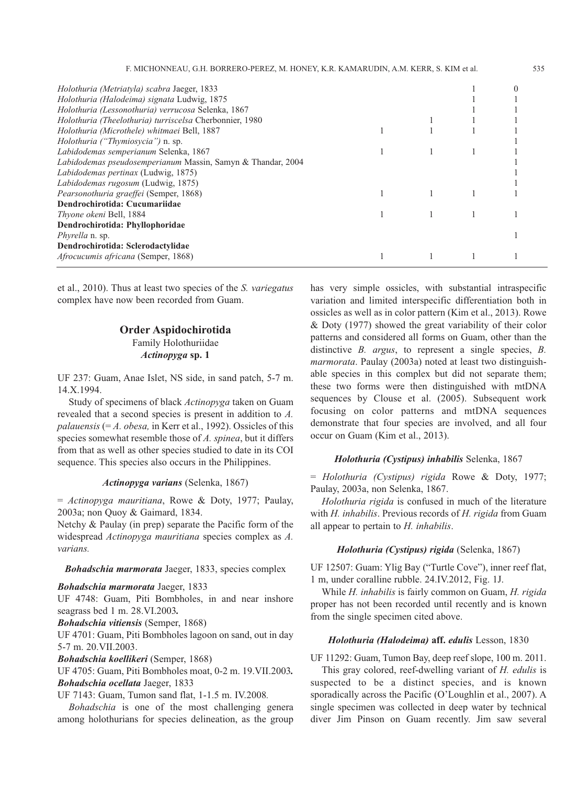| 535<br>F. MICHONNEAU, G.H. BORRERO-PEREZ. M. HONEY, K.R. KAMARUDIN. A.M. KERR. S. KIM et al. |
|----------------------------------------------------------------------------------------------|
|----------------------------------------------------------------------------------------------|

| Holothuria (Metriatyla) scabra Jaeger, 1833                 |  |  |  |
|-------------------------------------------------------------|--|--|--|
| Holothuria (Halodeima) signata Ludwig, 1875                 |  |  |  |
| Holothuria (Lessonothuria) verrucosa Selenka, 1867          |  |  |  |
| Holothuria (Theelothuria) turriscelsa Cherbonnier, 1980     |  |  |  |
| Holothuria (Microthele) whitmaei Bell, 1887                 |  |  |  |
| <i>Holothuria</i> (" <i>Thymiosycia</i> ") n. sp.           |  |  |  |
| Labidodemas semperianum Selenka, 1867                       |  |  |  |
| Labidodemas pseudosemperianum Massin, Samyn & Thandar, 2004 |  |  |  |
| Labidodemas pertinax (Ludwig, 1875)                         |  |  |  |
| Labidodemas rugosum (Ludwig, 1875)                          |  |  |  |
| Pearsonothuria graeffei (Semper, 1868)                      |  |  |  |
| Dendrochirotida: Cucumariidae                               |  |  |  |
| <i>Thyone okeni</i> Bell, 1884                              |  |  |  |
| Dendrochirotida: Phyllophoridae                             |  |  |  |
| Phyrella n. sp.                                             |  |  |  |
| Dendrochirotida: Sclerodactylidae                           |  |  |  |
| Afrocucumis africana (Semper, 1868)                         |  |  |  |
|                                                             |  |  |  |

et al., 2010). Thus at least two species of the *S. variegatus* complex have now been recorded from Guam.

# **Order Aspidochirotida** Family Holothuriidae *Actinopyga* **sp. 1**

UF 237: Guam, Anae Islet, NS side, in sand patch, 5-7 m. 14.X.1994.

Study of specimens of black *Actinopyga* taken on Guam revealed that a second species is present in addition to *A. palauensis* (= *A. obesa,* in Kerr et al., 1992). Ossicles of this species somewhat resemble those of *A. spinea*, but it differs from that as well as other species studied to date in its COI sequence. This species also occurs in the Philippines.

#### *Actinopyga varians* (Selenka, 1867)

= *Actinopyga mauritiana*, Rowe & Doty, 1977; Paulay, 2003a; non Quoy & Gaimard, 1834.

Netchy & Paulay (in prep) separate the Pacific form of the widespread *Actinopyga mauritiana* species complex as *A. varians.*

#### *Bohadschia marmorata* Jaeger, 1833, species complex

#### *Bohadschia marmorata* Jaeger, 1833

UF 4748: Guam, Piti Bombholes, in and near inshore seagrass bed 1 m. 28.VI.2003*.*

*Bohadschia vitiensis* (Semper, 1868)

UF 4701: Guam, Piti Bombholes lagoon on sand, out in day 5-7 m. 20.VII.2003.

*Bohadschia koellikeri* (Semper, 1868)

UF 4705: Guam, Piti Bombholes moat, 0-2 m. 19.VII.2003*. Bohadschia ocellata* Jaeger, 1833

UF 7143: Guam, Tumon sand flat, 1-1.5 m. IV.2008*.*

*Bohadschia* is one of the most challenging genera among holothurians for species delineation, as the group has very simple ossicles, with substantial intraspecific variation and limited interspecific differentiation both in ossicles as well as in color pattern (Kim et al., 2013). Rowe & Doty (1977) showed the great variability of their color patterns and considered all forms on Guam, other than the distinctive *B. argus*, to represent a single species, *B. marmorata*. Paulay (2003a) noted at least two distinguishable species in this complex but did not separate them; these two forms were then distinguished with mtDNA sequences by Clouse et al. (2005). Subsequent work focusing on color patterns and mtDNA sequences demonstrate that four species are involved, and all four occur on Guam (Kim et al., 2013).

#### *Holothuria (Cystipus) inhabilis* Selenka, 1867

= *Holothuria (Cystipus) rigida* Rowe & Doty, 1977; Paulay, 2003a, non Selenka, 1867.

*Holothuria rigida* is confused in much of the literature with *H. inhabilis*. Previous records of *H. rigida* from Guam all appear to pertain to *H. inhabilis*.

### *Holothuria (Cystipus) rigida* (Selenka, 1867)

UF 12507: Guam: Ylig Bay ("Turtle Cove"), inner reef flat, 1 m, under coralline rubble. 24.IV.2012, Fig. 1J.

While *H. inhabilis* is fairly common on Guam, *H. rigida* proper has not been recorded until recently and is known from the single specimen cited above.

#### *Holothuria (Halodeima)* **aff.** *edulis* Lesson, 1830

UF 11292: Guam, Tumon Bay, deep reef slope, 100 m. 2011.

This gray colored, reef-dwelling variant of *H. edulis* is suspected to be a distinct species, and is known sporadically across the Pacific (O'Loughlin et al., 2007). A single specimen was collected in deep water by technical diver Jim Pinson on Guam recently. Jim saw several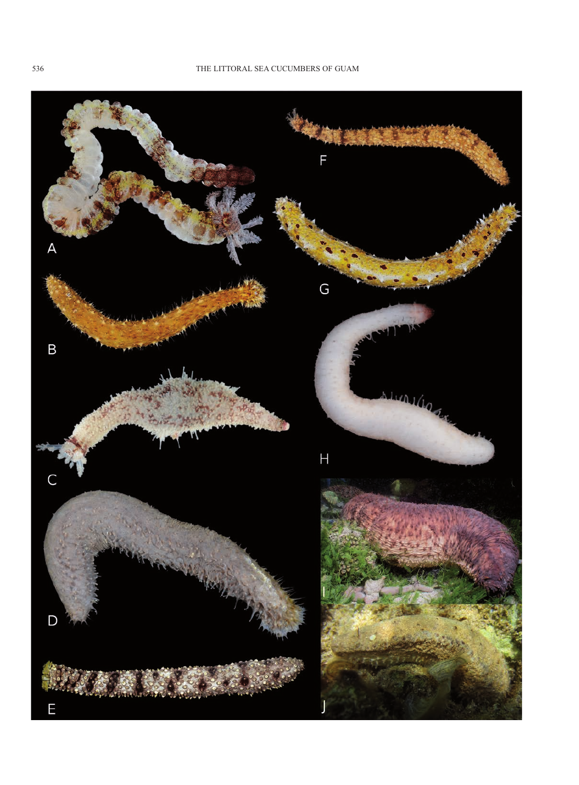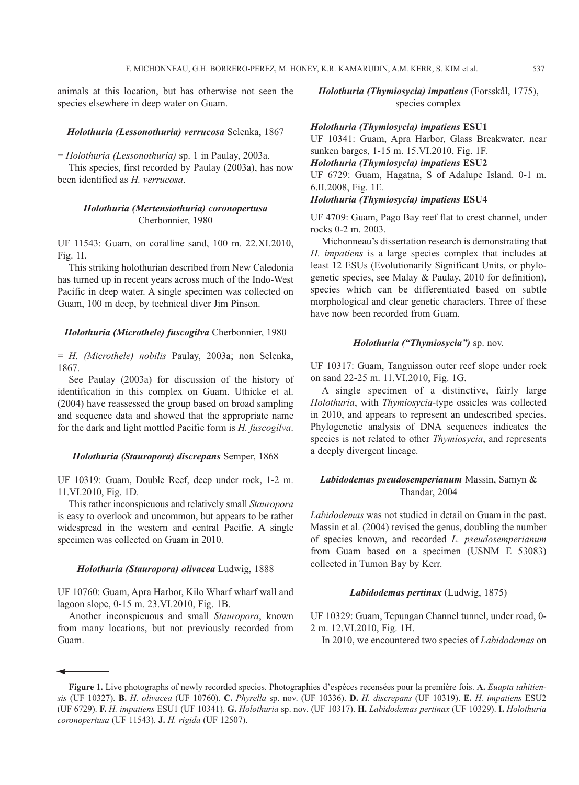animals at this location, but has otherwise not seen the species elsewhere in deep water on Guam.

#### *Holothuria (Lessonothuria) verrucosa* Selenka, 1867

= *Holothuria (Lessonothuria)* sp. 1 in Paulay, 2003a.

This species, first recorded by Paulay (2003a), has now been identified as *H. verrucosa*.

#### *Holothuria (Mertensiothuria) coronopertusa* Cherbonnier, 1980

UF 11543: Guam, on coralline sand, 100 m. 22.XI.2010, Fig. 1I.

This striking holothurian described from New Caledonia has turned up in recent years across much of the Indo-West Pacific in deep water. A single specimen was collected on Guam, 100 m deep, by technical diver Jim Pinson.

### *Holothuria (Microthele) fuscogilva* Cherbonnier, 1980

= *H. (Microthele) nobilis* Paulay, 2003a; non Selenka, 1867.

See Paulay (2003a) for discussion of the history of identification in this complex on Guam. Uthicke et al. (2004) have reassessed the group based on broad sampling and sequence data and showed that the appropriate name for the dark and light mottled Pacific form is *H. fuscogilva*.

#### *Holothuria (Stauropora) discrepans* Semper, 1868

UF 10319: Guam, Double Reef, deep under rock, 1-2 m. 11.VI.2010, Fig. 1D.

This rather inconspicuous and relatively small *Stauropora* is easy to overlook and uncommon, but appears to be rather widespread in the western and central Pacific. A single specimen was collected on Guam in 2010.

#### *Holothuria (Stauropora) olivacea* Ludwig, 1888

UF 10760: Guam, Apra Harbor, Kilo Wharf wharf wall and lagoon slope, 0-15 m. 23.VI.2010, Fig. 1B.

Another inconspicuous and small *Stauropora*, known from many locations, but not previously recorded from Guam.

*Holothuria (Thymiosycia) impatiens* (Forsskål, 1775), species complex

#### *Holothuria (Thymiosycia) impatiens* **ESU1**

UF 10341: Guam, Apra Harbor, Glass Breakwater, near sunken barges, 1-15 m. 15.VI.2010, Fig. 1F.

*Holothuria (Thymiosycia) impatiens* **ESU2**

UF 6729: Guam, Hagatna, S of Adalupe Island. 0-1 m. 6.II.2008, Fig. 1E.

# *Holothuria (Thymiosycia) impatiens* **ESU4**

UF 4709: Guam, Pago Bay reef flat to crest channel, under rocks 0-2 m. 2003.

Michonneau's dissertation research is demonstrating that *H. impatiens* is a large species complex that includes at least 12 ESUs (Evolutionarily Significant Units, or phylogenetic species, see Malay & Paulay, 2010 for definition), species which can be differentiated based on subtle morphological and clear genetic characters. Three of these have now been recorded from Guam.

#### *Holothuria ("Thymiosycia")* sp. nov.

UF 10317: Guam, Tanguisson outer reef slope under rock on sand 22-25 m. 11.VI.2010, Fig. 1G.

A single specimen of a distinctive, fairly large *Holothuria*, with *Thymiosycia-*type ossicles was collected in 2010, and appears to represent an undescribed species. Phylogenetic analysis of DNA sequences indicates the species is not related to other *Thymiosycia*, and represents a deeply divergent lineage.

# *Labidodemas pseudosemperianum* Massin, Samyn & Thandar, 2004

*Labidodemas* was not studied in detail on Guam in the past. Massin et al. (2004) revised the genus, doubling the number of species known, and recorded *L. pseudosemperianum* from Guam based on a specimen (USNM E 53083) collected in Tumon Bay by Kerr.

#### *Labidodemas pertinax* (Ludwig, 1875)

UF 10329: Guam, Tepungan Channel tunnel, under road, 0- 2 m. 12.VI.2010, Fig. 1H.

In 2010, we encountered two species of *Labidodemas* on

**Figure 1.** Live photographs of newly recorded species. Photographies d'espèces recensées pour la première fois. **A.** *Euapta tahitiensis* (UF 10327). **B.** *H. olivacea* (UF 10760). **C.** *Phyrella* sp. nov. (UF 10336). **D.** *H. discrepans* (UF 10319). **E.** *H. impatiens* ESU2 (UF 6729). **F.** *H. impatiens* ESU1 (UF 10341). **G.** *Holothuria* sp. nov. (UF 10317). **H.** *Labidodemas pertinax* (UF 10329). **I.** *Holothuria coronopertusa* (UF 11543). **J.** *H. rigida* (UF 12507).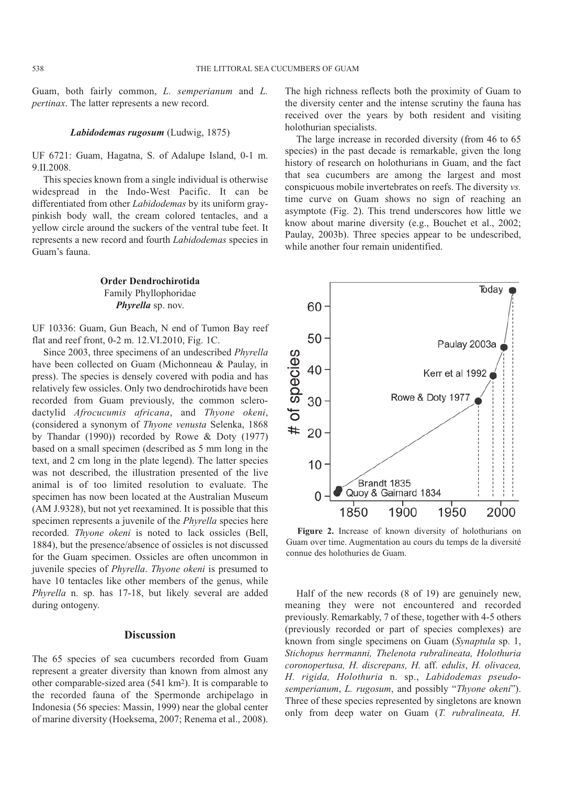Guam, both fairly common, *L. semperianum* and *L. pertinax*. The latter represents a new record.

#### *Labidodemas rugosum* (Ludwig, 1875)

UF 6721: Guam, Hagatna, S. of Adalupe Island, 0-1 m. 9.II.2008.

This species known from a single individual is otherwise widespread in the Indo-West Pacific. It can be differentiated from other *Labidodemas* by its uniform graypinkish body wall, the cream colored tentacles, and a yellow circle around the suckers of the ventral tube feet. It represents a new record and fourth *Labidodemas* species in Guam's fauna.

> **Order Dendrochirotida** Family Phyllophoridae *Phyrella* sp. nov.

UF 10336: Guam, Gun Beach, N end of Tumon Bay reef flat and reef front, 0-2 m. 12.VI.2010, Fig. 1C.

Since 2003, three specimens of an undescribed *Phyrella* have been collected on Guam (Michonneau & Paulay, in press). The species is densely covered with podia and has relatively few ossicles. Only two dendrochirotids have been recorded from Guam previously, the common sclerodactylid *Afrocucumis africana*, and *Thyone okeni*, (considered a synonym of *Thyone venusta* Selenka, 1868 by Thandar (1990)) recorded by Rowe & Doty (1977) based on a small specimen (described as 5 mm long in the text, and 2 cm long in the plate legend). The latter species was not described, the illustration presented of the live animal is of too limited resolution to evaluate. The specimen has now been located at the Australian Museum (AM J.9328), but not yet reexamined. It is possible that this specimen represents a juvenile of the *Phyrella* species here recorded. *Thyone okeni* is noted to lack ossicles (Bell, 1884), but the presence/absence of ossicles is not discussed for the Guam specimen. Ossicles are often uncommon in juvenile species of *Phyrella*. *Thyone okeni* is presumed to have 10 tentacles like other members of the genus, while *Phyrella* n. sp. has 17-18, but likely several are added during ontogeny.

# **Discussion**

The 65 species of sea cucumbers recorded from Guam represent a greater diversity than known from almost any other comparable-sized area (541 km2). It is comparable to the recorded fauna of the Spermonde archipelago in Indonesia (56 species: Massin, 1999) near the global center of marine diversity (Hoeksema, 2007; Renema et al., 2008). The high richness reflects both the proximity of Guam to the diversity center and the intense scrutiny the fauna has received over the years by both resident and visiting holothurian specialists.

The large increase in recorded diversity (from 46 to 65 species) in the past decade is remarkable, given the long history of research on holothurians in Guam, and the fact that sea cucumbers are among the largest and most conspicuous mobile invertebrates on reefs. The diversity *vs.* time curve on Guam shows no sign of reaching an asymptote (Fig. 2). This trend underscores how little we know about marine diversity (e.g., Bouchet et al., 2002; Paulay, 2003b). Three species appear to be undescribed, while another four remain unidentified.



**Figure 2.** Increase of known diversity of holothurians on Guam over time. Augmentation au cours du temps de la diversité connue des holothuries de Guam.

Half of the new records (8 of 19) are genuinely new, meaning they were not encountered and recorded previously. Remarkably, 7 of these, together with 4-5 others (previously recorded or part of species complexes) are known from single specimens on Guam (*Synaptula* sp. 1, *Stichopus herrmanni, Thelenota rubralineata, Holothuria coronopertusa, H. discrepans, H.* aff. *edulis*, *H. olivacea, H. rigida, Holothuria* n. sp., *Labidodemas pseudo semperianum*, *L. rugosum*, and possibly "*Thyone okeni*"). Three of these species represented by singletons are known only from deep water on Guam (*T. rubralineata, H.*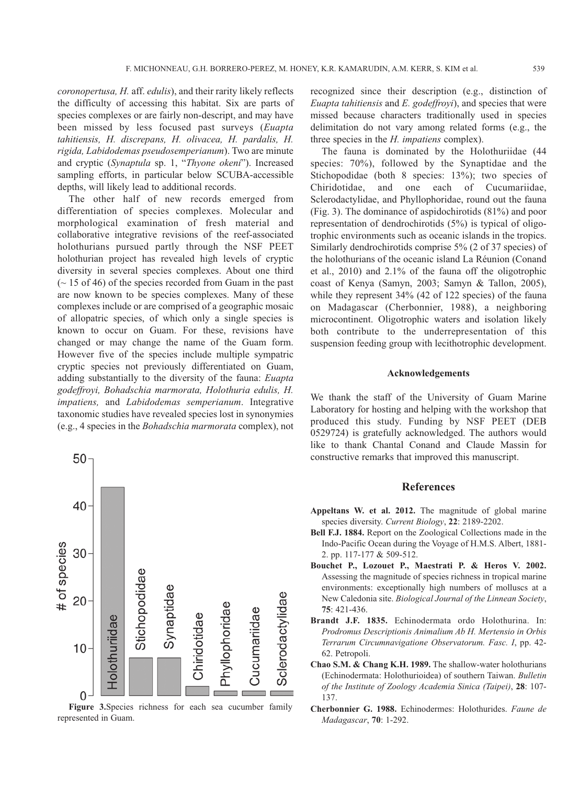*coronopertusa, H.* aff. *edulis*), and their rarity likely reflects the difficulty of accessing this habitat. Six are parts of species complexes or are fairly non-descript, and may have been missed by less focused past surveys (*Euapta tahitiensis, H. discrepans, H. olivacea, H. pardalis, H. rigida, Labidodemas pseudosemperianum*). Two are minute and cryptic (*Synaptula* sp. 1, "*Thyone okeni*"). Increased sampling efforts, in particular below SCUBA-accessible depths, will likely lead to additional records.

The other half of new records emerged from differentiation of species complexes. Molecular and morphological examination of fresh material and collaborative integrative revisions of the reef-associated holothurians pursued partly through the NSF PEET holothurian project has revealed high levels of cryptic diversity in several species complexes. About one third (~ 15 of 46) of the species recorded from Guam in the past are now known to be species complexes. Many of these complexes include or are comprised of a geographic mosaic of allopatric species, of which only a single species is known to occur on Guam. For these, revisions have changed or may change the name of the Guam form. However five of the species include multiple sympatric cryptic species not previously differentiated on Guam, adding substantially to the diversity of the fauna: *Euapta godeffroyi, Bohadschia marmorata, Holothuria edulis, H. impatiens,* and *Labidodemas semperianum*. Integrative taxonomic studies have revealed species lost in synonymies (e.g., 4 species in the *Bohadschia marmorata* complex), not



**Figure 3.**Species richness for each sea cucumber family represented in Guam.

recognized since their description (e.g., distinction of *Euapta tahitiensis* and *E. godeffroyi*), and species that were missed because characters traditionally used in species delimitation do not vary among related forms (e.g., the three species in the *H. impatiens* complex).

The fauna is dominated by the Holothuriidae (44 species: 70%), followed by the Synaptidae and the Stichopodidae (both 8 species: 13%); two species of Chiridotidae, and one each of Cucumariidae, Sclerodactylidae, and Phyllophoridae, round out the fauna (Fig. 3). The dominance of aspidochirotids (81%) and poor representation of dendrochirotids (5%) is typical of oligotrophic environments such as oceanic islands in the tropics. Similarly dendrochirotids comprise 5% (2 of 37 species) of the holothurians of the oceanic island La Réunion (Conand et al., 2010) and 2.1% of the fauna off the oligotrophic coast of Kenya (Samyn, 2003; Samyn & Tallon, 2005), while they represent 34% (42 of 122 species) of the fauna on Madagascar (Cherbonnier, 1988), a neighboring microcontinent. Oligotrophic waters and isolation likely both contribute to the underrepresentation of this suspension feeding group with lecithotrophic development.

#### **Acknowledgements**

We thank the staff of the University of Guam Marine Laboratory for hosting and helping with the workshop that produced this study. Funding by NSF PEET (DEB 0529724) is gratefully acknowledged. The authors would like to thank Chantal Conand and Claude Massin for constructive remarks that improved this manuscript.

#### **References**

- **Appeltans W. et al. 2012.** The magnitude of global marine species diversity. *Current Biology*, **22**: 2189-2202.
- **Bell F.J. 1884.** Report on the Zoological Collections made in the Indo-Pacific Ocean during the Voyage of H.M.S. Albert, 1881- 2. pp. 117-177 & 509-512.
- **Bouchet P., Lozouet P., Maestrati P. & Heros V. 2002.** Assessing the magnitude of species richness in tropical marine environments: exceptionally high numbers of molluscs at a New Caledonia site. *Biological Journal of the Linnean Society*, **75**: 421-436.
- **Brandt J.F. 1835.** Echinodermata ordo Holothurina. In: *Prodromus Descriptionis Animalium Ab H. Mertensio in Orbis Terrarum Circumnavigatione Observatorum. Fasc. I*, pp. 42- 62. Petropoli.
- **Chao S.M. & Chang K.H. 1989.** The shallow-water holothurians (Echinodermata: Holothurioidea) of southern Taiwan. *Bulletin of the Institute of Zoology Academia Sinica (Taipei)*, **28**: 107- 137.
- **Cherbonnier G. 1988.** Echinodermes: Holothurides. *Faune de Madagascar*, **70**: 1-292.